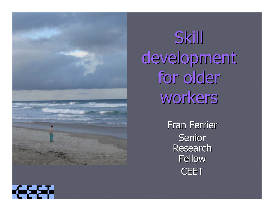

Skill development for older workers

> **Fran Ferrier** Senior **Research** Fellow **CEET**

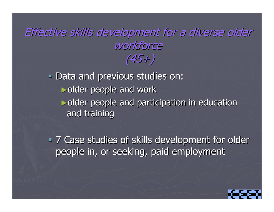### Effective skills development for a diverse older workforce (45+)

**- Data and previous studies on:**  $\blacktriangleright$ older people and work  $\triangleright$ older people and participation in education and training

**- 7 Case studies of skills development for older** people in, or seeking, paid employment

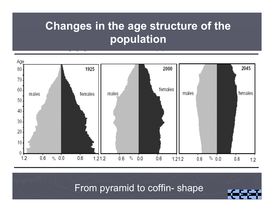### **Changes in the age structure of the population**



From pyramid to coffin- shape

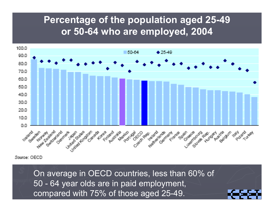#### **Percentage of the population aged 25-49 or 50-64 who are employed, 2004**



Source: OECD

On average in OECD countries, less than 60% of 50 - 64 year olds are in paid employment, compared with 75% of those aged 25-49.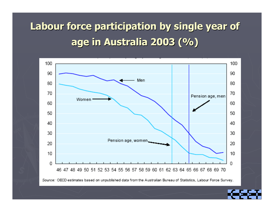## **Labour force participation by single year of age in Australia 2003 (%) age in Australia 2003 (%)**



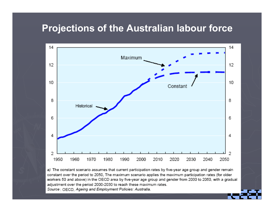#### **Projections of the Australian labour force**



a) The constant scenario assumes that current participation rates by five-year age group and gender remain constant over the period to 2050, The maximum scenario applies the maximum participation rates (for older workers 50 and above) in the OECD area by five-year age group and gender from 2030 to 2050, with a gradual adjustment over the period 2000-2030 to reach these maximum rates. Source : OECD, Ageing and Employment Policies: Australia.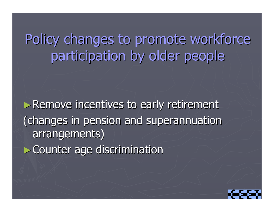# Policy changes to promote workforce participation by older people

► Remove incentives to early retirement (changes in pension and superannuation (changes in pension and superannuation arrangements) arrangements) ► Counter age discrimination

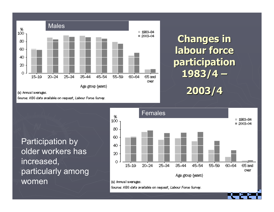

### **Changes in Changes in labour force participation participation 1983/4 – 2003/4**

(a) Annual averages.

Source: ABS data available on request, Labour Force Survey.

Participation by older workers has increased, particularly among women



Source: ABS data available on request, Labour Force Survey.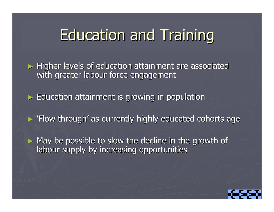# **Education and Training**

► Higher levels of education attainment are associated with greater labour force engagement

► Education attainment is growing in population

► 'Flow through' as currently highly educated cohorts age

 $\blacktriangleright$  May be possible to slow the decline in the growth of labour supply by increasing opportunities

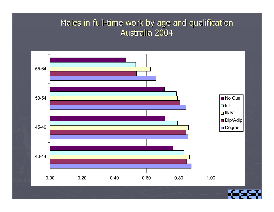#### Males in full-time work by age and qualification Australia 2004

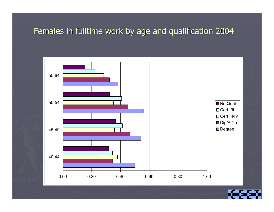#### Females in fulltime work by age and qualification 2004

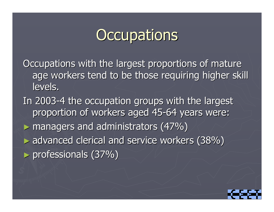# **Occupations**

Occupations with the largest proportions of mature age workers tend to be those requiring higher skill levels.

In 2003-4 the occupation groups with the largest proportion of workers aged 45-64 years were:  $\blacktriangleright$  managers and administrators (47%)  $\blacktriangleright$  advanced clerical and service workers (38%)  $\blacktriangleright$  professionals (37%)

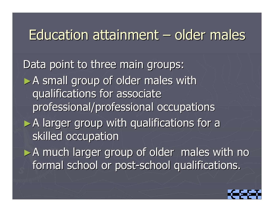#### Education attainment – older males

Data point to three main groups:  $\triangleright$  A small group of older males with qualifications for associate qualifications for associate professional/professional occupations  $\triangleright$  A larger group with qualifications for a skilled occupation  $\triangleright$  A much larger group of older males with no formal school or post-school qualifications.

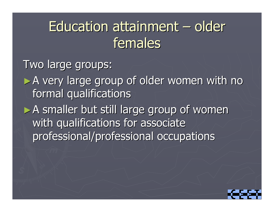#### Education attainment – older females

Two large groups: ►A very large group of older women with no formal qualifications  $\triangleright$  A smaller but still large group of women with qualifications for associate

professional/professional occupations

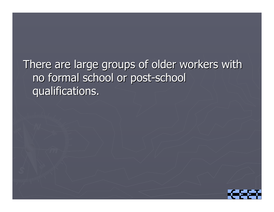### There are large groups of older workers with no formal school or post-school qualifications. qualifications.

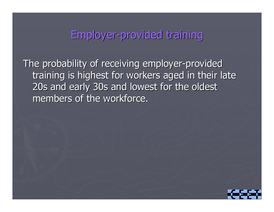### Employer-provided training

The probability of receiving employer-provided training is highest for workers aged in their late 20s and early 30s and lowest for the oldest members of the workforce.

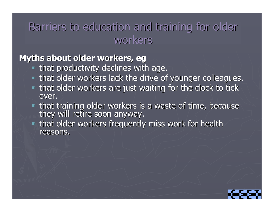### Barriers to education and training for older workers

#### **Myths about older workers, eg**

- $\blacksquare$  that productivity declines with age.
- **Example in that older workers lack the drive of younger colleagues.**
- $\blacksquare$  that older workers are just waiting for the clock to tick over.
- that training older workers is a waste of time, because they will retire soon anyway.
- **Example is that older workers frequently miss work for health** reasons.

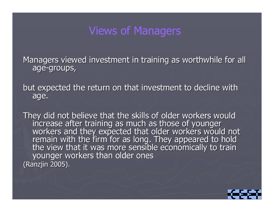#### Views of Managers

Managers viewed investment in training as worthwhile for all age-groups,

but expected the return on that investment to decline with age.

They did not believe that the skills of older workers would<br>increase after training as much as those of younger<br>workers and they expected that older workers would not<br>remain with the firm for as long. They appeared to hold (Ranzjin 2005).

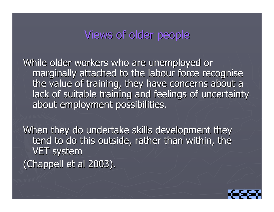#### Views of older people

While older workers who are unemployed or marginally attached to the labour force recognise the value of training, they have concerns about a lack of suitable training and feelings of uncertainty about employment possibilities.

When they do undertake skills development they tend to do this outside, rather than within, the VET system (Chappell et al 2003).

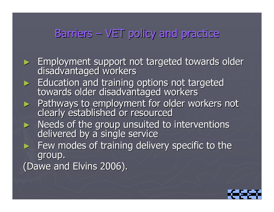### Barriers  $-$  VET policy and practice

► Employment support not targeted towards older<br>disadvantaged workers ►Education and training options not targeted towards older disadvantaged workers ► Pathways to employment for older workers not clearly established or resourced ► Needs of the group unsuited to interventions delivered by a single service  $\blacktriangleright$  Few modes of training delivery specific to the group. (Dawe and Elvins 2006).

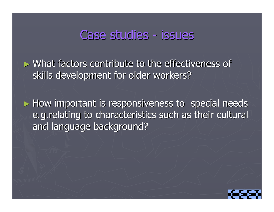### Case studies - issues

 $\triangleright$  What factors contribute to the effectiveness of skills development for older workers?

 $\blacktriangleright$  How important is responsiveness to special needs e.g.relating to characteristics such as their cultural and language background?

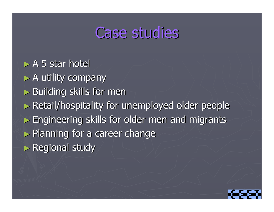## **Case studies**

 $\triangleright$  A 5 star hotel  $\blacktriangleright$  A utility company  $\blacktriangleright$  Building skills for men ► Retail/hospitality for unemployed older people ► Engineering skills for older men and migrants  $\blacktriangleright$  Planning for a career change ► Regional study

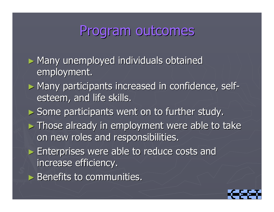## Program outcomes

 $\blacktriangleright$  Many unemployed individuals obtained employment. ► Many participants increased in confidence, selfesteem, and life skills. ► Some participants went on to further study.  $\blacktriangleright$  Those already in employment were able to take on new roles and responsibilities.  $\triangleright$  Enterprises were able to reduce costs and increase efficiency.  $\blacktriangleright$  Benefits to communities.

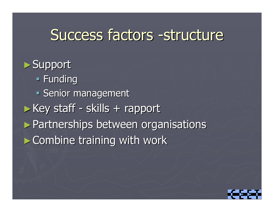## Success factors -structure

 $\blacktriangleright$  Support **Funding Senior management**  $\blacktriangleright$  Key staff -- skills + rapport ▶ Partnerships between organisations  $\blacktriangleright$  Combine training with work

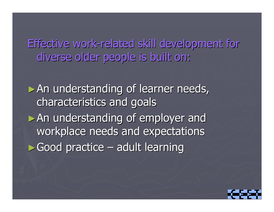Effective work-related skill development for diverse older people is built on:

 $\triangleright$  An understanding of learner needs, characteristics and goals characteristics and goals  $\triangleright$  An understanding of employer and workplace needs and expectations  $\blacktriangleright$  Good practice – adult learning

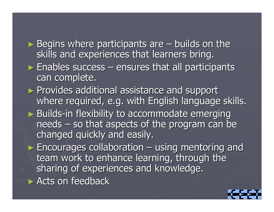$\blacktriangleright$  Begins where participants are  $\theta$ – $-$  builds on the  $\overline{\phantom{a}}$ skills and experiences that learners bring.  $\blacktriangleright$  Enables success  $\mathcal{L}_{\mathcal{A}}$  , where  $\mathcal{L}_{\mathcal{A}}$  is the set of the set of the set of the set of the set of the set of the set of the set of the set of the set of the set of the set of the set of the set of the set of the set of the  $-$  ensures that all participants can complete. ► Provides additional assistance and support where required, e.g. with English language skills. ► Builds-in flexibility to accommodate emerging needs  $\mathcal{L}_{\mathcal{A}}$  $-$  so that aspects of the program can be changed quickly and easily.  $\blacktriangleright$  Encourages collaboration  $\cdot$ – $-$  using mentoring and team work to enhance learning, through the sharing of experiences and knowledge.  $\blacktriangleright$  Acts on feedback

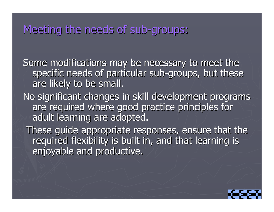### Meeting the needs of sub-groups:

Some modifications may be necessary to meet the specific needs of particular sub-groups, but these are likely to be small.

No significant changes in skill development programs are required where good practice principles for adult learning are adopted.

These guide appropriate responses, ensure that the required flexibility is built in, and that learning is enjoyable and productive.